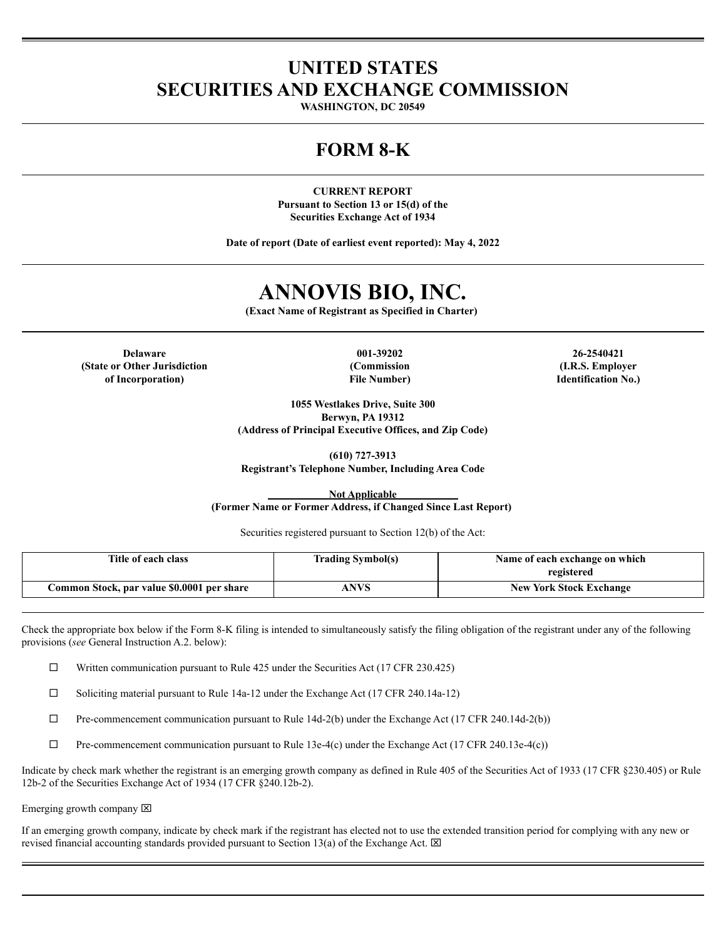## **UNITED STATES SECURITIES AND EXCHANGE COMMISSION**

**WASHINGTON, DC 20549**

## **FORM 8-K**

**CURRENT REPORT Pursuant to Section 13 or 15(d) of the Securities Exchange Act of 1934**

**Date of report (Date of earliest event reported): May 4, 2022**

# **ANNOVIS BIO, INC.**

**(Exact Name of Registrant as Specified in Charter)**

**Delaware 001-39202 26-2540421 (State or Other Jurisdiction of Incorporation)**

**(Commission File Number)**

**(I.R.S. Employer Identification No.)**

**1055 Westlakes Drive, Suite 300 Berwyn, PA 19312 (Address of Principal Executive Offices, and Zip Code)**

**(610) 727-3913 Registrant's Telephone Number, Including Area Code**

**Not Applicable (Former Name or Former Address, if Changed Since Last Report)**

Securities registered pursuant to Section 12(b) of the Act:

| Title of each class                        | <b>Trading Symbol(s)</b> | Name of each exchange on which |
|--------------------------------------------|--------------------------|--------------------------------|
|                                            |                          | registered                     |
| Common Stock, par value \$0.0001 per share | ANVS                     | <b>New York Stock Exchange</b> |

Check the appropriate box below if the Form 8-K filing is intended to simultaneously satisfy the filing obligation of the registrant under any of the following provisions (*see* General Instruction A.2. below):

 $\Box$  Written communication pursuant to Rule 425 under the Securities Act (17 CFR 230.425)

 $\square$  Soliciting material pursuant to Rule 14a-12 under the Exchange Act (17 CFR 240.14a-12)

 $\Box$  Pre-commencement communication pursuant to Rule 14d-2(b) under the Exchange Act (17 CFR 240.14d-2(b))

 $\Box$  Pre-commencement communication pursuant to Rule 13e-4(c) under the Exchange Act (17 CFR 240.13e-4(c))

Indicate by check mark whether the registrant is an emerging growth company as defined in Rule 405 of the Securities Act of 1933 (17 CFR §230.405) or Rule 12b-2 of the Securities Exchange Act of 1934 (17 CFR §240.12b-2).

Emerging growth company  $\boxtimes$ 

If an emerging growth company, indicate by check mark if the registrant has elected not to use the extended transition period for complying with any new or revised financial accounting standards provided pursuant to Section 13(a) of the Exchange Act.  $\boxtimes$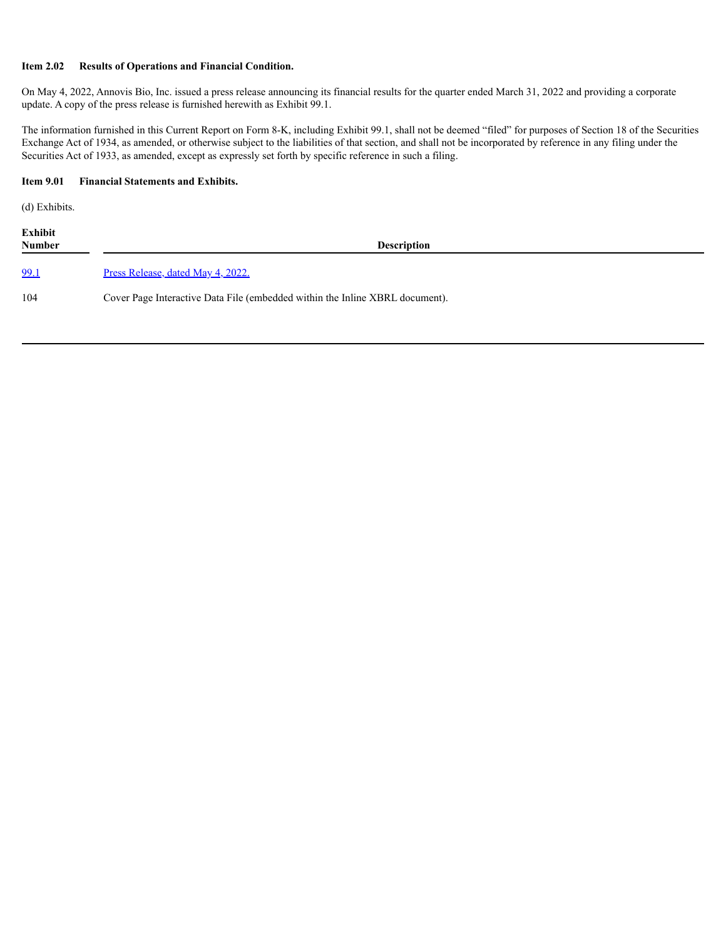### **Item 2.02 Results of Operations and Financial Condition.**

On May 4, 2022, Annovis Bio, Inc. issued a press release announcing its financial results for the quarter ended March 31, 2022 and providing a corporate update. A copy of the press release is furnished herewith as Exhibit 99.1.

The information furnished in this Current Report on Form 8-K, including Exhibit 99.1, shall not be deemed "filed" for purposes of Section 18 of the Securities Exchange Act of 1934, as amended, or otherwise subject to the liabilities of that section, and shall not be incorporated by reference in any filing under the Securities Act of 1933, as amended, except as expressly set forth by specific reference in such a filing.

### **Item 9.01 Financial Statements and Exhibits.**

(d) Exhibits.

**Exhibit Number Description** [99.1](#page-3-0) Press [Release,](#page-3-0) dated May 4, 2022. 104 Cover Page Interactive Data File (embedded within the Inline XBRL document).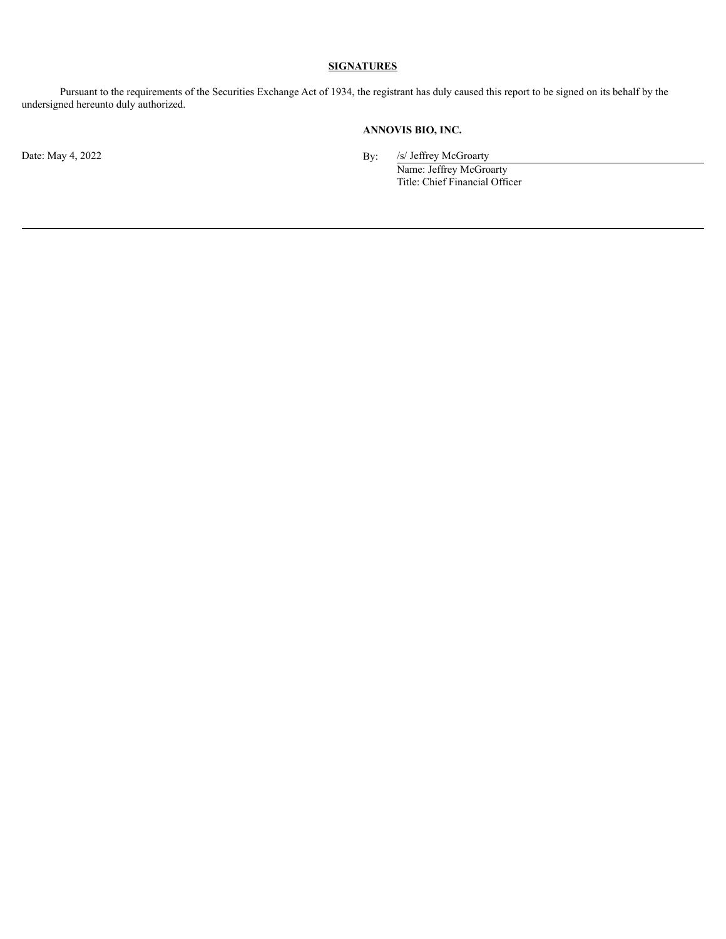## **SIGNATURES**

Pursuant to the requirements of the Securities Exchange Act of 1934, the registrant has duly caused this report to be signed on its behalf by the undersigned hereunto duly authorized.

## **ANNOVIS BIO, INC.**

Date: May 4, 2022 By: /s/ Jeffrey McGroarty

Name: Jeffrey McGroarty Title: Chief Financial Officer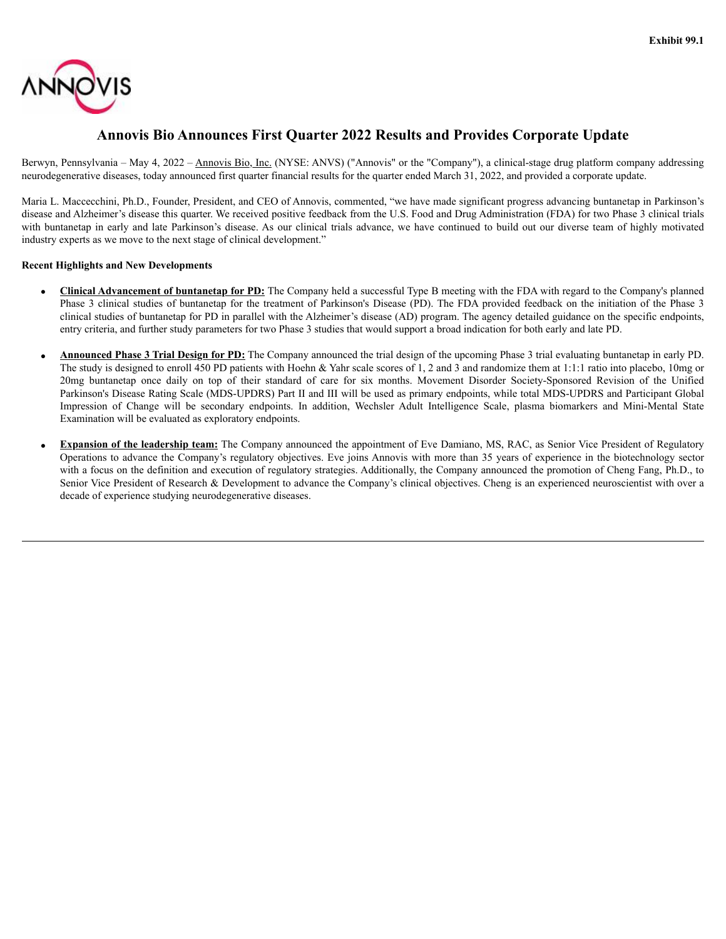<span id="page-3-0"></span>

## **Annovis Bio Announces First Quarter 2022 Results and Provides Corporate Update**

Berwyn, Pennsylvania – May 4, 2022 – Annovis Bio, Inc. (NYSE: ANVS) ("Annovis" or the "Company"), a clinical-stage drug platform company addressing neurodegenerative diseases, today announced first quarter financial results for the quarter ended March 31, 2022, and provided a corporate update.

Maria L. Maccecchini, Ph.D., Founder, President, and CEO of Annovis, commented, "we have made significant progress advancing buntanetap in Parkinson's disease and Alzheimer's disease this quarter. We received positive feedback from the U.S. Food and Drug Administration (FDA) for two Phase 3 clinical trials with buntanetap in early and late Parkinson's disease. As our clinical trials advance, we have continued to build out our diverse team of highly motivated industry experts as we move to the next stage of clinical development."

## **Recent Highlights and New Developments**

- · **Clinical Advancement of buntanetap for PD:** The Company held a successful Type B meeting with the FDA with regard to the Company's planned Phase 3 clinical studies of buntanetap for the treatment of Parkinson's Disease (PD). The FDA provided feedback on the initiation of the Phase 3 clinical studies of buntanetap for PD in parallel with the Alzheimer's disease (AD) program. The agency detailed guidance on the specific endpoints, entry criteria, and further study parameters for two Phase 3 studies that would support a broad indication for both early and late PD.
- · **Announced Phase 3 Trial Design for PD:** The Company announced the trial design of the upcoming Phase 3 trial evaluating buntanetap in early PD. The study is designed to enroll 450 PD patients with Hoehn & Yahr scale scores of 1, 2 and 3 and randomize them at 1:1:1 ratio into placebo, 10mg or 20mg buntanetap once daily on top of their standard of care for six months. Movement Disorder Society-Sponsored Revision of the Unified Parkinson's Disease Rating Scale (MDS-UPDRS) Part II and III will be used as primary endpoints, while total MDS-UPDRS and Participant Global Impression of Change will be secondary endpoints. In addition, Wechsler Adult Intelligence Scale, plasma biomarkers and Mini-Mental State Examination will be evaluated as exploratory endpoints.
- **Expansion of the leadership team:** The Company announced the appointment of Eve Damiano, MS, RAC, as Senior Vice President of Regulatory Operations to advance the Company's regulatory objectives. Eve joins Annovis with more than 35 years of experience in the biotechnology sector with a focus on the definition and execution of regulatory strategies. Additionally, the Company announced the promotion of Cheng Fang, Ph.D., to Senior Vice President of Research & Development to advance the Company's clinical objectives. Cheng is an experienced neuroscientist with over a decade of experience studying neurodegenerative diseases.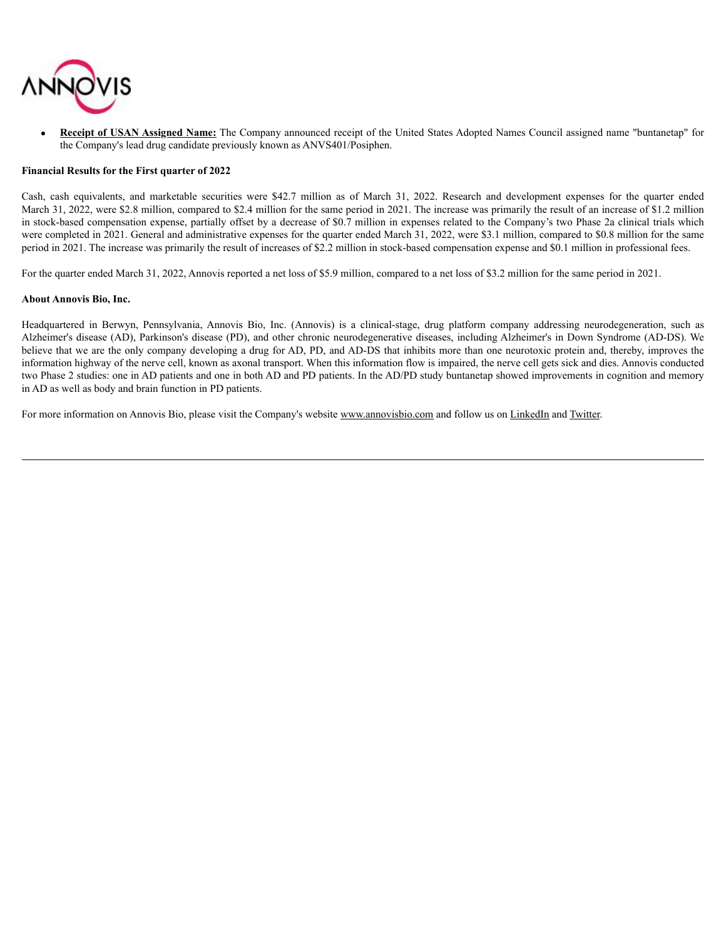

· **Receipt of USAN Assigned Name:** The Company announced receipt of the United States Adopted Names Council assigned name "buntanetap" for the Company's lead drug candidate previously known as ANVS401/Posiphen.

#### **Financial Results for the First quarter of 2022**

Cash, cash equivalents, and marketable securities were \$42.7 million as of March 31, 2022. Research and development expenses for the quarter ended March 31, 2022, were \$2.8 million, compared to \$2.4 million for the same period in 2021. The increase was primarily the result of an increase of \$1.2 million in stock-based compensation expense, partially offset by a decrease of \$0.7 million in expenses related to the Company's two Phase 2a clinical trials which were completed in 2021. General and administrative expenses for the quarter ended March 31, 2022, were \$3.1 million, compared to \$0.8 million for the same period in 2021. The increase was primarily the result of increases of \$2.2 million in stock-based compensation expense and \$0.1 million in professional fees.

For the quarter ended March 31, 2022, Annovis reported a net loss of \$5.9 million, compared to a net loss of \$3.2 million for the same period in 2021.

#### **About Annovis Bio, Inc.**

Headquartered in Berwyn, Pennsylvania, Annovis Bio, Inc. (Annovis) is a clinical-stage, drug platform company addressing neurodegeneration, such as Alzheimer's disease (AD), Parkinson's disease (PD), and other chronic neurodegenerative diseases, including Alzheimer's in Down Syndrome (AD-DS). We believe that we are the only company developing a drug for AD, PD, and AD-DS that inhibits more than one neurotoxic protein and, thereby, improves the information highway of the nerve cell, known as axonal transport. When this information flow is impaired, the nerve cell gets sick and dies. Annovis conducted two Phase 2 studies: one in AD patients and one in both AD and PD patients. In the AD/PD study buntanetap showed improvements in cognition and memory in AD as well as body and brain function in PD patients.

For more information on Annovis Bio, please visit the Company's website www.annovisbio.com and follow us on LinkedIn and Twitter.